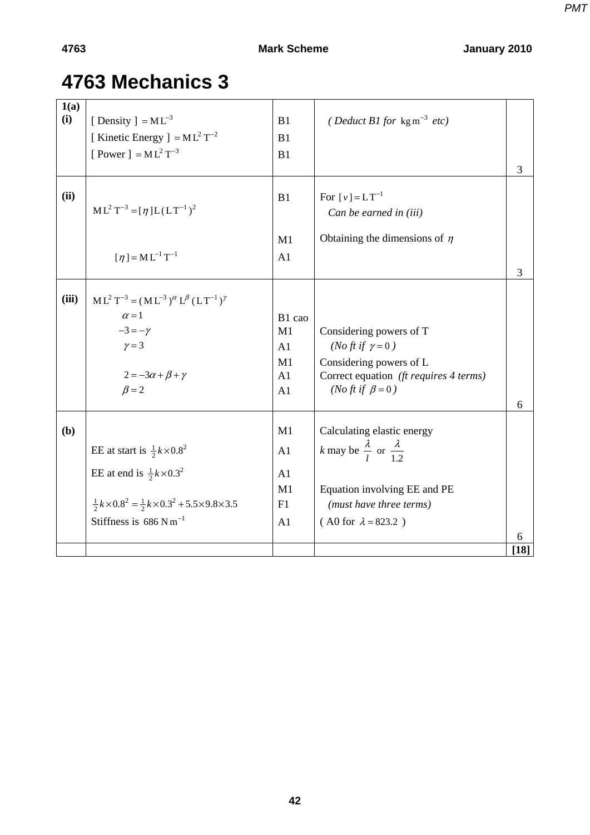## **4763 Mechanics 3**

| 1(a)  |                                                                                     |                |                                                             |        |
|-------|-------------------------------------------------------------------------------------|----------------|-------------------------------------------------------------|--------|
| (i)   | [ Density ] = $ML^{-3}$                                                             | B1             | ( <i>Deduct B1 for</i> kg m <sup>-3</sup> <i>etc</i> )      |        |
|       | [ Kinetic Energy ] = $ML^2T^{-2}$                                                   | B1             |                                                             |        |
|       | [ Power ] = $ML^2T^{-3}$                                                            | B1             |                                                             |        |
|       |                                                                                     |                |                                                             | 3      |
| (ii)  |                                                                                     | B1             | For $[v] = LT^{-1}$                                         |        |
|       | $ML^{2}T^{-3} = [\eta]L(LT^{-1})^{2}$                                               |                |                                                             |        |
|       |                                                                                     |                | Can be earned in (iii)                                      |        |
|       |                                                                                     | M1             | Obtaining the dimensions of $\eta$                          |        |
|       | $\lceil \eta \rceil = M L^{-1} T^{-1}$                                              | A1             |                                                             |        |
|       |                                                                                     |                |                                                             | 3      |
|       |                                                                                     |                |                                                             |        |
| (iii) | $ML^{2}T^{-3} = (ML^{-3})^{\alpha}L^{\beta}(LT^{-1})^{\gamma}$                      |                |                                                             |        |
|       | $\alpha = 1$                                                                        | B1 cao         |                                                             |        |
|       | $-3=-\gamma$                                                                        | M1             | Considering powers of T                                     |        |
|       | $\gamma = 3$                                                                        | A1             | ( <i>No ft if</i> $\gamma = 0$ )                            |        |
|       |                                                                                     | M <sub>1</sub> | Considering powers of L                                     |        |
|       | $2 = -3\alpha + \beta + \gamma$                                                     | A1             | Correct equation (ft requires 4 terms)                      |        |
|       | $\beta = 2$                                                                         | A1             | ( <i>No ft if</i> $\beta = 0$ )                             |        |
|       |                                                                                     |                |                                                             | 6      |
| (b)   |                                                                                     | M1             | Calculating elastic energy                                  |        |
|       | EE at start is $\frac{1}{2}k \times 0.8^2$                                          | A <sub>1</sub> | <i>k</i> may be $\frac{\lambda}{l}$ or $\frac{\lambda}{12}$ |        |
|       |                                                                                     |                |                                                             |        |
|       | EE at end is $\frac{1}{2}k \times 0.3^2$                                            | A1             |                                                             |        |
|       |                                                                                     | M1             | Equation involving EE and PE                                |        |
|       | $\frac{1}{2}k \times 0.8^2 = \frac{1}{2}k \times 0.3^2 + 5.5 \times 9.8 \times 3.5$ | F1             | (must have three terms)                                     |        |
|       | Stiffness is $686$ N m <sup>-1</sup>                                                | A <sub>1</sub> | $($ A0 for $\lambda = 823.2)$                               |        |
|       |                                                                                     |                |                                                             | 6      |
|       |                                                                                     |                |                                                             | $[18]$ |

**42**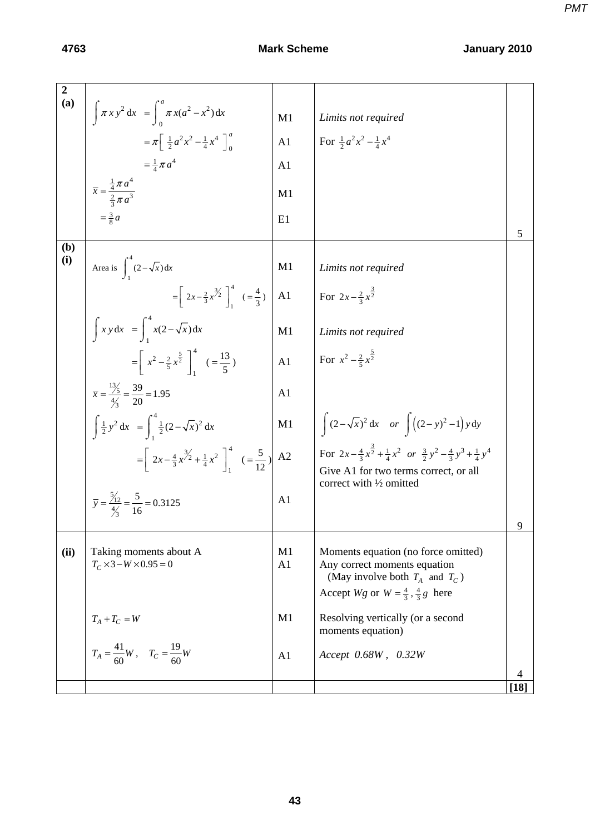| $\boldsymbol{2}$<br>(a) |                                                                                               |                      |                                                                                                                                                                 |           |
|-------------------------|-----------------------------------------------------------------------------------------------|----------------------|-----------------------------------------------------------------------------------------------------------------------------------------------------------------|-----------|
|                         | $\int \pi x y^2 dx = \int_0^{\pi} \pi x (a^2 - x^2) dx$                                       | M1                   | Limits not required                                                                                                                                             |           |
|                         | $=\pi \left[ \frac{1}{2} a^2 x^2 - \frac{1}{4} x^4 \right]_0^a$                               | A1                   | For $\frac{1}{2}a^2x^2 - \frac{1}{4}x^4$                                                                                                                        |           |
|                         | $=\frac{1}{4}\pi a^4$                                                                         | A <sub>1</sub>       |                                                                                                                                                                 |           |
|                         | $\overline{x} = \frac{\frac{1}{4}\pi a^4}{\frac{2}{3}\pi a^3}$                                | M1                   |                                                                                                                                                                 |           |
|                         |                                                                                               | E1                   |                                                                                                                                                                 | 5         |
| (b)                     |                                                                                               |                      |                                                                                                                                                                 |           |
| (i)                     | Area is $\int_{1}^{4} (2 - \sqrt{x}) dx$                                                      | M1                   | Limits not required                                                                                                                                             |           |
|                         | $=\left[2x-\frac{2}{3}x^{\frac{3}{2}}\right]_{1}^{4}$ $\left(\frac{4}{3}\right)$              | A1                   | For $2x-\frac{2}{3}x^{\frac{3}{2}}$                                                                                                                             |           |
|                         | $\int xy dx = \int_{0}^{4} x(2 - \sqrt{x}) dx$                                                | M1                   | Limits not required                                                                                                                                             |           |
|                         | $=\left[x^2 - \frac{2}{5}x^{\frac{5}{2}}\right]_1^4$ $\left(=\frac{13}{5}\right)$             | A <sub>1</sub>       | For $x^2 - \frac{2}{5}x^{\frac{5}{2}}$                                                                                                                          |           |
|                         | $\overline{x} = \frac{13}{4/2} = \frac{39}{20} = 1.95$                                        | A <sub>1</sub>       |                                                                                                                                                                 |           |
|                         | $\int \frac{1}{2} y^2 dx = \int_{1}^{4} \frac{1}{2} (2 - \sqrt{x})^2 dx$                      | M1                   | $\int (2-\sqrt{x})^2 dx$ or $\int ((2-y)^2-1) y dy$                                                                                                             |           |
|                         | $=\left[2x-\frac{4}{3}x^{\frac{3}{2}}+\frac{1}{4}x^2\right]_0^4$ $\left(-\frac{5}{12}\right)$ | A2                   | For $2x - \frac{4}{3}x^{\frac{3}{2}} + \frac{1}{4}x^2$ or $\frac{3}{2}y^2 - \frac{4}{3}y^3 + \frac{1}{4}y^4$<br>Give A1 for two terms correct, or all           |           |
|                         | $\overline{y} = \frac{5/2}{4/2} = \frac{5}{16} = 0.3125$                                      | A <sub>1</sub>       | correct with 1/2 omitted                                                                                                                                        |           |
|                         |                                                                                               |                      |                                                                                                                                                                 | 9         |
| (ii)                    | Taking moments about A<br>$T_C \times 3 - W \times 0.95 = 0$                                  | M1<br>A <sub>1</sub> | Moments equation (no force omitted)<br>Any correct moments equation<br>(May involve both $T_A$ and $T_C$ )<br>Accept Wg or $W = \frac{4}{3}, \frac{4}{3}g$ here |           |
|                         | $T_A+T_C=W$                                                                                   | M1                   | Resolving vertically (or a second<br>moments equation)                                                                                                          |           |
|                         | $T_A = \frac{41}{60}W$ , $T_C = \frac{19}{60}W$                                               | A1                   | Accept 0.68W, 0.32W                                                                                                                                             |           |
|                         |                                                                                               |                      |                                                                                                                                                                 | 4<br>[18] |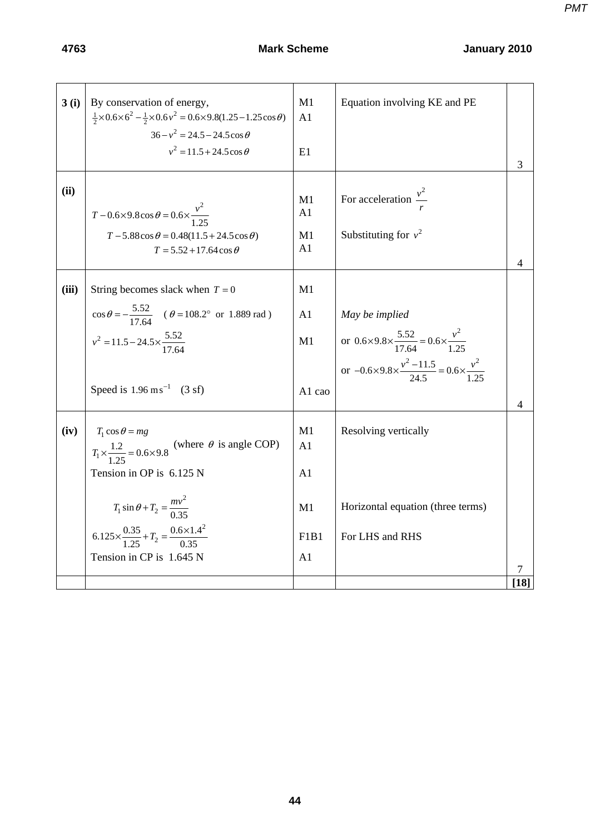| 3(i)  | By conservation of energy,<br>$\frac{1}{2} \times 0.6 \times 6^2 - \frac{1}{2} \times 0.6 v^2 = 0.6 \times 9.8(1.25 - 1.25 \cos \theta)$<br>$36 - v^2 = 24.5 - 24.5 \cos \theta$<br>$v^2 = 11.5 + 24.5 \cos \theta$                                                                     | M1<br>A1<br>E1                                                          | Equation involving KE and PE                                                                                                                                                       | 3           |
|-------|-----------------------------------------------------------------------------------------------------------------------------------------------------------------------------------------------------------------------------------------------------------------------------------------|-------------------------------------------------------------------------|------------------------------------------------------------------------------------------------------------------------------------------------------------------------------------|-------------|
| (ii)  | $T - 0.6 \times 9.8 \cos \theta = 0.6 \times \frac{v^2}{1.25}$<br>$T - 5.88 \cos \theta = 0.48(11.5 + 24.5 \cos \theta)$<br>$T = 5.52 + 17.64 \cos \theta$                                                                                                                              | M1<br>A1<br>M1<br>A1                                                    | For acceleration $\frac{v^2}{x}$<br>Substituting for $v^2$                                                                                                                         | 4           |
| (iii) | String becomes slack when $T = 0$<br>$\cos \theta = -\frac{5.52}{17.64}$ ( $\theta = 108.2^{\circ}$ or 1.889 rad)<br>$v^2 = 11.5 - 24.5 \times \frac{5.52}{17.64}$<br>Speed is $1.96 \text{ ms}^{-1}$ (3 sf)                                                                            | M1<br>A1<br>M1<br>A1 cao                                                | May be implied<br>or $0.6 \times 9.8 \times \frac{5.52}{17.64} = 0.6 \times \frac{v^2}{1.25}$<br>or $-0.6 \times 9.8 \times \frac{v^2 - 11.5}{24.5} = 0.6 \times \frac{v^2}{1.25}$ | 4           |
| (iv)  | $T_1 \cos \theta = mg$<br>$T_1 \times \frac{1.2}{1.25} = 0.6 \times 9.8$ (where $\theta$ is angle COP)<br>Tension in OP is 6.125 N<br>$T_1 \sin \theta + T_2 = \frac{mv^2}{0.35}$<br>$6.125 \times \frac{0.35}{1.25} + T_2 = \frac{0.6 \times 1.4^2}{0.35}$<br>Tension in CP is 1.645 N | M1<br>A1<br>A1<br>M1<br>F <sub>1</sub> B <sub>1</sub><br>A <sub>1</sub> | Resolving vertically<br>Horizontal equation (three terms)<br>For LHS and RHS                                                                                                       | 7<br>$[18]$ |